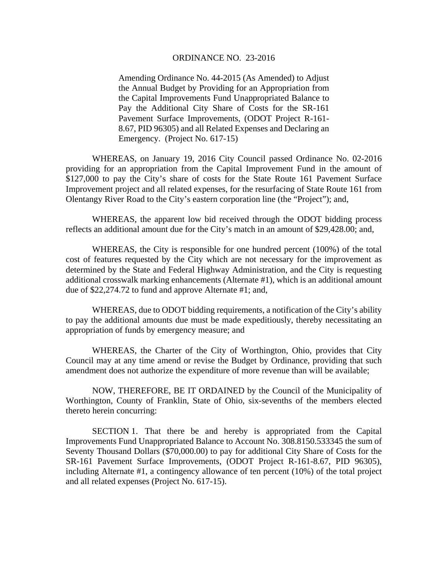## ORDINANCE NO. 23-2016

Amending Ordinance No. 44-2015 (As Amended) to Adjust the Annual Budget by Providing for an Appropriation from the Capital Improvements Fund Unappropriated Balance to Pay the Additional City Share of Costs for the SR-161 Pavement Surface Improvements, (ODOT Project R-161- 8.67, PID 96305) and all Related Expenses and Declaring an Emergency. (Project No. 617-15)

 WHEREAS, on January 19, 2016 City Council passed Ordinance No. 02-2016 providing for an appropriation from the Capital Improvement Fund in the amount of \$127,000 to pay the City's share of costs for the State Route 161 Pavement Surface Improvement project and all related expenses, for the resurfacing of State Route 161 from Olentangy River Road to the City's eastern corporation line (the "Project"); and,

 WHEREAS, the apparent low bid received through the ODOT bidding process reflects an additional amount due for the City's match in an amount of \$29,428.00; and,

WHEREAS, the City is responsible for one hundred percent (100%) of the total cost of features requested by the City which are not necessary for the improvement as determined by the State and Federal Highway Administration, and the City is requesting additional crosswalk marking enhancements (Alternate #1), which is an additional amount due of \$22,274.72 to fund and approve Alternate #1; and,

WHEREAS, due to ODOT bidding requirements, a notification of the City's ability to pay the additional amounts due must be made expeditiously, thereby necessitating an appropriation of funds by emergency measure; and

WHEREAS, the Charter of the City of Worthington, Ohio, provides that City Council may at any time amend or revise the Budget by Ordinance, providing that such amendment does not authorize the expenditure of more revenue than will be available;

 NOW, THEREFORE, BE IT ORDAINED by the Council of the Municipality of Worthington, County of Franklin, State of Ohio, six-sevenths of the members elected thereto herein concurring:

 SECTION 1. That there be and hereby is appropriated from the Capital Improvements Fund Unappropriated Balance to Account No. 308.8150.533345 the sum of Seventy Thousand Dollars (\$70,000.00) to pay for additional City Share of Costs for the SR-161 Pavement Surface Improvements, (ODOT Project R-161-8.67, PID 96305), including Alternate #1, a contingency allowance of ten percent (10%) of the total project and all related expenses (Project No. 617-15).